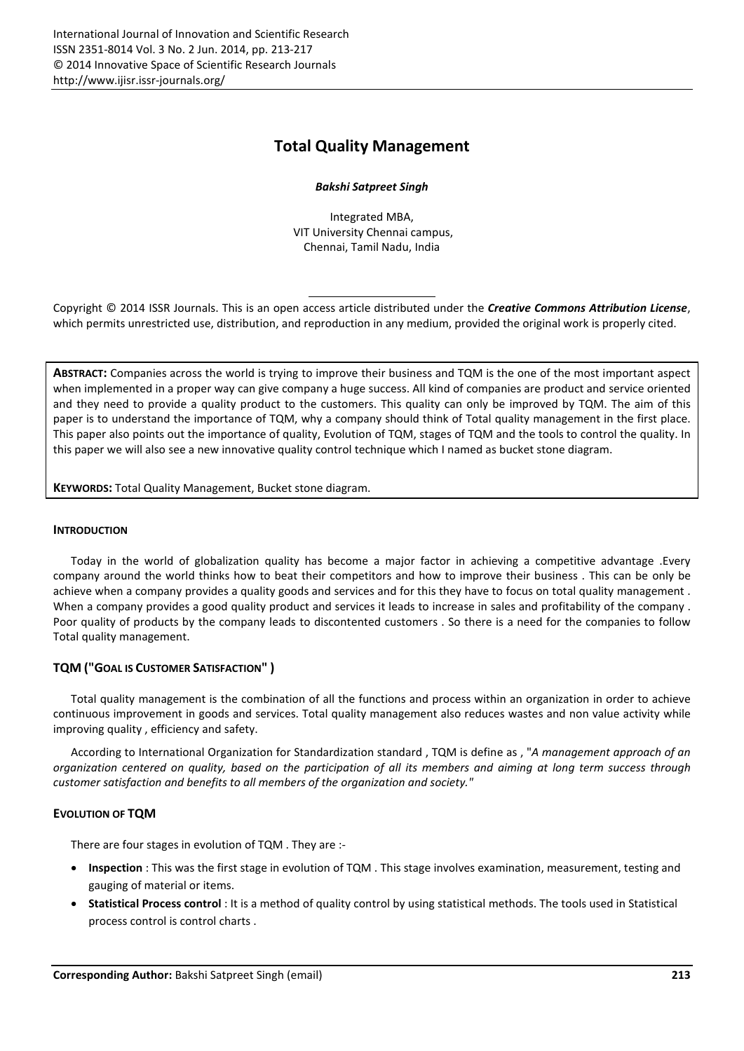# Total Quality Management

## *Bakshi Satpreet Singh*

Integrated MBA, VIT University Chennai campus, Chennai, Tamil Nadu, India

Copyright © 2014 ISSR Journals. This is an open access article distributed under the *Creative Commons Attribution License*, which permits unrestricted use, distribution, and reproduction in any medium, provided the original work is properly cited.

ABSTRACT: Companies across the world is trying to improve their business and TQM is the one of the most important aspect when implemented in a proper way can give company a huge success. All kind of companies are product and service oriented and they need to provide a quality product to the customers. This quality can only be improved by TQM. The aim of this paper is to understand the importance of TQM, why a company should think of Total quality management in the first place. This paper also points out the importance of quality, Evolution of TQM, stages of TQM and the tools to control the quality. In this paper we will also see a new innovative quality control technique which I named as bucket stone diagram.

KEYWORDS: Total Quality Management, Bucket stone diagram.

### INTRODUCTION

Today in the world of globalization quality has become a major factor in achieving a competitive advantage .Every company around the world thinks how to beat their competitors and how to improve their business . This can be only be achieve when a company provides a quality goods and services and for this they have to focus on total quality management . When a company provides a good quality product and services it leads to increase in sales and profitability of the company. Poor quality of products by the company leads to discontented customers . So there is a need for the companies to follow Total quality management.

# TQM ("GOAL IS CUSTOMER SATISFACTION" )

Total quality management is the combination of all the functions and process within an organization in order to achieve continuous improvement in goods and services. Total quality management also reduces wastes and non value activity while improving quality , efficiency and safety.

According to International Organization for Standardization standard , TQM is define as , "*A management approach of an organization centered on quality, based on the participation of all its members and aiming at long term success through customer satisfaction and benefits to all members of the organization and society."*

# EVOLUTION OF TQM

There are four stages in evolution of TQM . They are :-

- Inspection : This was the first stage in evolution of TQM. This stage involves examination, measurement, testing and gauging of material or items.
- Statistical Process control : It is a method of quality control by using statistical methods. The tools used in Statistical process control is control charts .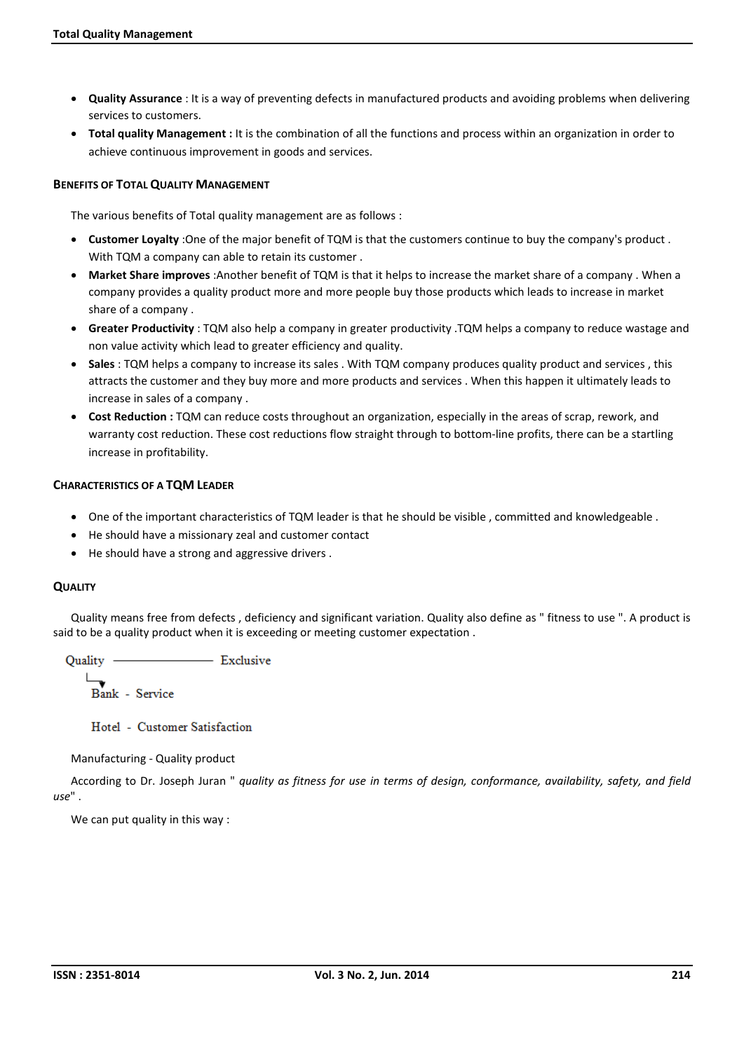- Quality Assurance : It is a way of preventing defects in manufactured products and avoiding problems when delivering services to customers.
- Total quality Management : It is the combination of all the functions and process within an organization in order to achieve continuous improvement in goods and services.

## BENEFITS OF TOTAL QUALITY MANAGEMENT

The various benefits of Total quality management are as follows :

- Customer Loyalty : One of the major benefit of TQM is that the customers continue to buy the company's product. With TQM a company can able to retain its customer .
- Market Share improves : Another benefit of TQM is that it helps to increase the market share of a company. When a company provides a quality product more and more people buy those products which leads to increase in market share of a company .
- Greater Productivity : TQM also help a company in greater productivity .TQM helps a company to reduce wastage and non value activity which lead to greater efficiency and quality.
- Sales : TQM helps a company to increase its sales . With TQM company produces quality product and services, this attracts the customer and they buy more and more products and services . When this happen it ultimately leads to increase in sales of a company .
- Cost Reduction : TQM can reduce costs throughout an organization, especially in the areas of scrap, rework, and warranty cost reduction. These cost reductions flow straight through to bottom-line profits, there can be a startling increase in profitability.

## CHARACTERISTICS OF A TQM LEADER

- One of the important characteristics of TQM leader is that he should be visible , committed and knowledgeable .
- He should have a missionary zeal and customer contact
- He should have a strong and aggressive drivers .

### **QUALITY**

Quality means free from defects , deficiency and significant variation. Quality also define as " fitness to use ". A product is said to be a quality product when it is exceeding or meeting customer expectation .

Quality - Exclusive

Bank - Service

Hotel - Customer Satisfaction

Manufacturing - Quality product

According to Dr. Joseph Juran " *quality as fitness for use in terms of design, conformance, availability, safety, and field use*" .

We can put quality in this way :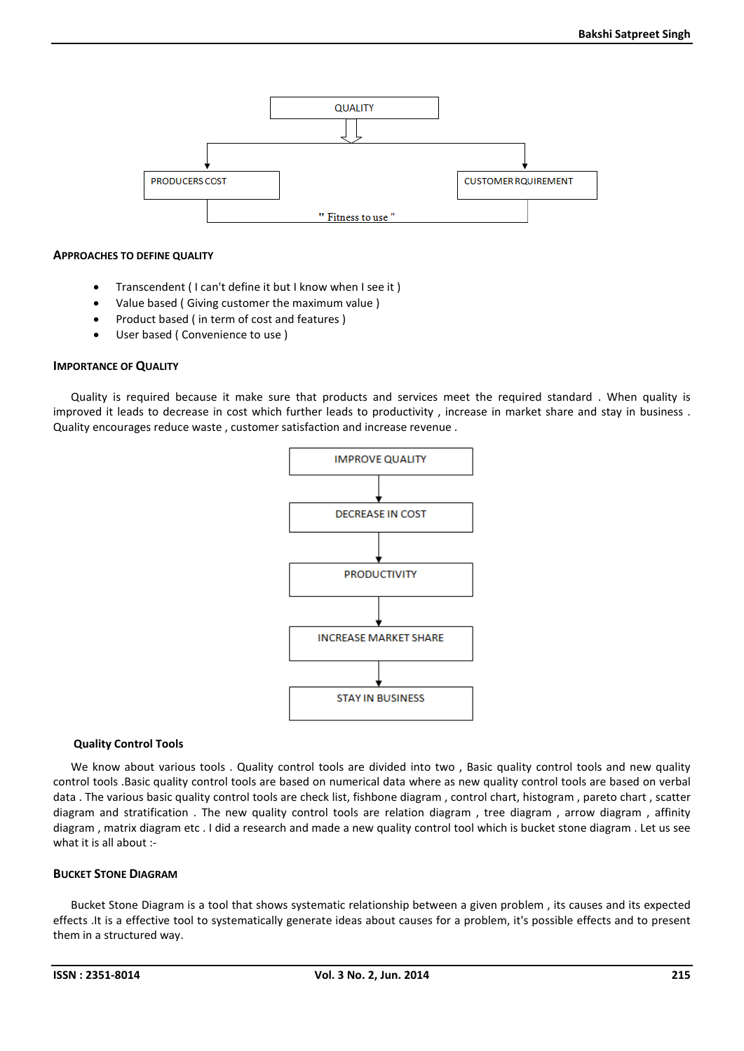

#### APPROACHES TO DEFINE QUALITY

- Transcendent ( I can't define it but I know when I see it )
- Value based ( Giving customer the maximum value )
- Product based ( in term of cost and features )
- User based ( Convenience to use )

### IMPORTANCE OF QUALITY

Quality is required because it make sure that products and services meet the required standard . When quality is improved it leads to decrease in cost which further leads to productivity , increase in market share and stay in business . Quality encourages reduce waste , customer satisfaction and increase revenue .



#### Quality Control Tools

We know about various tools . Quality control tools are divided into two , Basic quality control tools and new quality control tools .Basic quality control tools are based on numerical data where as new quality control tools are based on verbal data . The various basic quality control tools are check list, fishbone diagram , control chart, histogram , pareto chart , scatter diagram and stratification . The new quality control tools are relation diagram , tree diagram , arrow diagram , affinity diagram , matrix diagram etc . I did a research and made a new quality control tool which is bucket stone diagram . Let us see what it is all about :-

## BUCKET STONE DIAGRAM

Bucket Stone Diagram is a tool that shows systematic relationship between a given problem , its causes and its expected effects .It is a effective tool to systematically generate ideas about causes for a problem, it's possible effects and to present them in a structured way.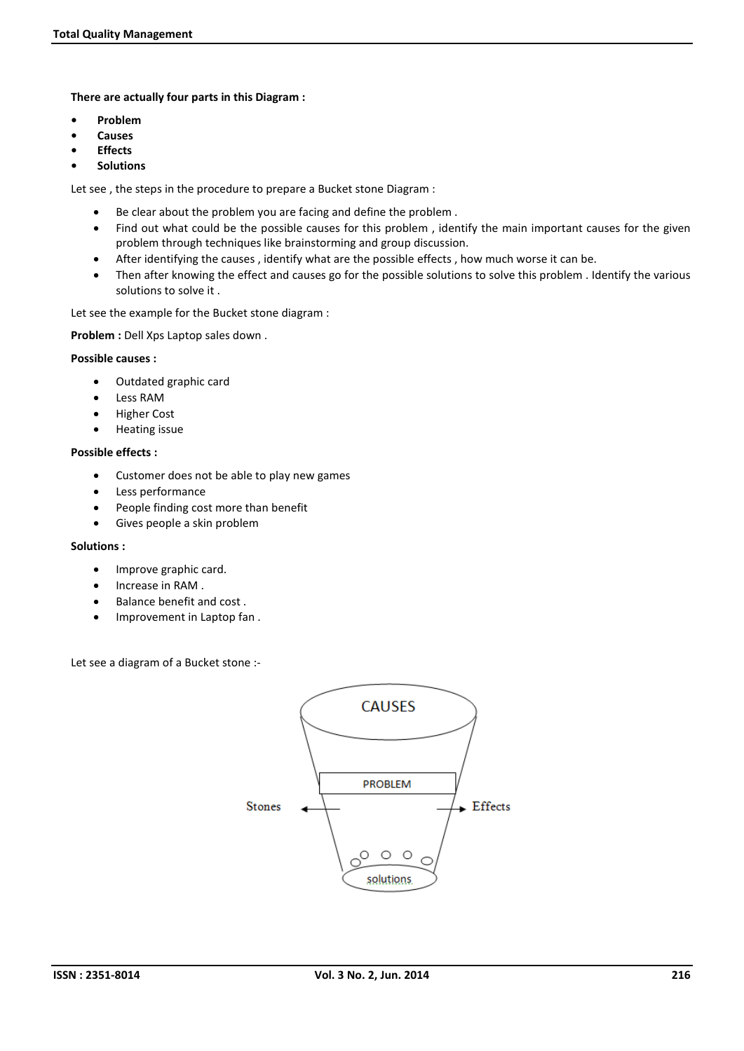There are actually four parts in this Diagram :

- Problem
- **Causes**
- **Effects**
- **Solutions**

Let see , the steps in the procedure to prepare a Bucket stone Diagram :

- Be clear about the problem you are facing and define the problem .
- Find out what could be the possible causes for this problem , identify the main important causes for the given problem through techniques like brainstorming and group discussion.
- After identifying the causes , identify what are the possible effects , how much worse it can be.
- Then after knowing the effect and causes go for the possible solutions to solve this problem . Identify the various solutions to solve it .

Let see the example for the Bucket stone diagram :

Problem : Dell Xps Laptop sales down .

### Possible causes :

- Outdated graphic card
- Less RAM
- **•** Higher Cost
- **•** Heating issue

### Possible effects :

- Customer does not be able to play new games
- Less performance
- People finding cost more than benefit
- Gives people a skin problem

### Solutions :

- Improve graphic card.
- Increase in RAM .
- Balance benefit and cost.
- Improvement in Laptop fan.

Let see a diagram of a Bucket stone :-